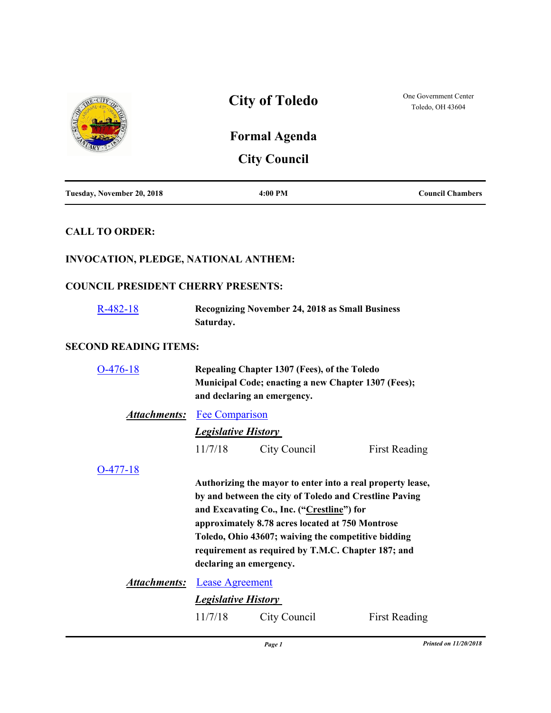

#### **SECOND READING ITEMS:**

| 476-18                             | Repealing Chapter 1307 (Fees), of the Toledo<br><b>Municipal Code; enacting a new Chapter 1307 (Fees);</b><br>and declaring an emergency.                                                                                                                                                                                                                      |              |                      |
|------------------------------------|----------------------------------------------------------------------------------------------------------------------------------------------------------------------------------------------------------------------------------------------------------------------------------------------------------------------------------------------------------------|--------------|----------------------|
| <b>Attachments:</b> Fee Comparison |                                                                                                                                                                                                                                                                                                                                                                |              |                      |
|                                    | <b>Legislative History</b>                                                                                                                                                                                                                                                                                                                                     |              |                      |
|                                    | 11/7/18                                                                                                                                                                                                                                                                                                                                                        | City Council | <b>First Reading</b> |
| 0-477-18                           | Authorizing the mayor to enter into a real property lease,<br>by and between the city of Toledo and Crestline Paving<br>and Excavating Co., Inc. ("Crestline") for<br>approximately 8.78 acres located at 750 Montrose<br>Toledo, Ohio 43607; waiving the competitive bidding<br>requirement as required by T.M.C. Chapter 187; and<br>declaring an emergency. |              |                      |
| Attachments:                       | <b>Lease Agreement</b>                                                                                                                                                                                                                                                                                                                                         |              |                      |
|                                    | <i><b>Legislative History</b></i>                                                                                                                                                                                                                                                                                                                              |              |                      |
|                                    | 11/7/18                                                                                                                                                                                                                                                                                                                                                        | City Council | <b>First Reading</b> |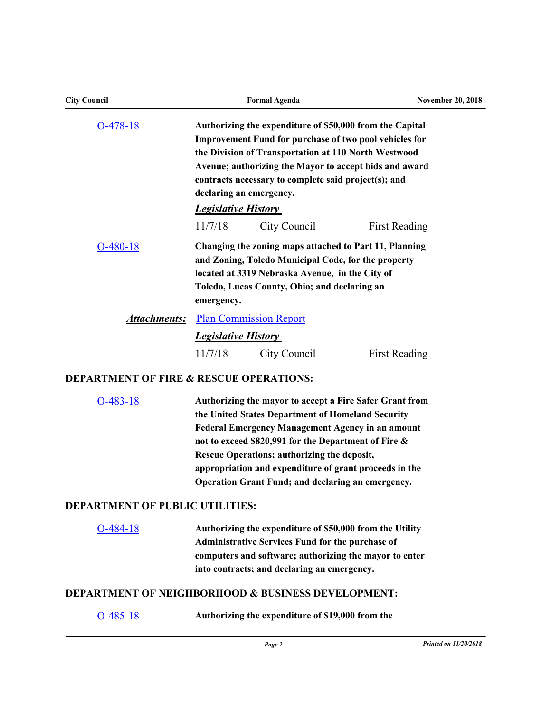| <b>City Council</b>                                |                                       | <b>Formal Agenda</b>                                                                                                                                                                                                                                                                                                                                                                          | <b>November 20, 2018</b> |
|----------------------------------------------------|---------------------------------------|-----------------------------------------------------------------------------------------------------------------------------------------------------------------------------------------------------------------------------------------------------------------------------------------------------------------------------------------------------------------------------------------------|--------------------------|
| $O-478-18$                                         |                                       | Authorizing the expenditure of \$50,000 from the Capital<br><b>Improvement Fund for purchase of two pool vehicles for</b><br>the Division of Transportation at 110 North Westwood<br>Avenue; authorizing the Mayor to accept bids and award<br>contracts necessary to complete said project(s); and                                                                                           |                          |
|                                                    |                                       | declaring an emergency.                                                                                                                                                                                                                                                                                                                                                                       |                          |
|                                                    | <b>Legislative History</b><br>11/7/18 | City Council                                                                                                                                                                                                                                                                                                                                                                                  | <b>First Reading</b>     |
| $O-480-18$                                         | emergency.                            | Changing the zoning maps attached to Part 11, Planning<br>and Zoning, Toledo Municipal Code, for the property<br>located at 3319 Nebraska Avenue, in the City of<br>Toledo, Lucas County, Ohio; and declaring an                                                                                                                                                                              |                          |
| <b>Attachments:</b>                                |                                       | <b>Plan Commission Report</b>                                                                                                                                                                                                                                                                                                                                                                 |                          |
|                                                    | <b>Legislative History</b>            |                                                                                                                                                                                                                                                                                                                                                                                               |                          |
|                                                    | 11/7/18                               | City Council                                                                                                                                                                                                                                                                                                                                                                                  | <b>First Reading</b>     |
| <b>DEPARTMENT OF FIRE &amp; RESCUE OPERATIONS:</b> |                                       |                                                                                                                                                                                                                                                                                                                                                                                               |                          |
| $O-483-18$                                         |                                       | Authorizing the mayor to accept a Fire Safer Grant from<br>the United States Department of Homeland Security<br><b>Federal Emergency Management Agency in an amount</b><br>not to exceed \$820,991 for the Department of Fire &<br>Rescue Operations; authorizing the deposit,<br>appropriation and expenditure of grant proceeds in the<br>Operation Grant Fund; and declaring an emergency. |                          |

# **DEPARTMENT OF PUBLIC UTILITIES:**

| $O-484-18$ | Authorizing the expenditure of \$50,000 from the Utility |
|------------|----------------------------------------------------------|
|            | <b>Administrative Services Fund for the purchase of</b>  |
|            | computers and software; authorizing the mayor to enter   |
|            | into contracts; and declaring an emergency.              |

## **DEPARTMENT OF NEIGHBORHOOD & BUSINESS DEVELOPMENT:**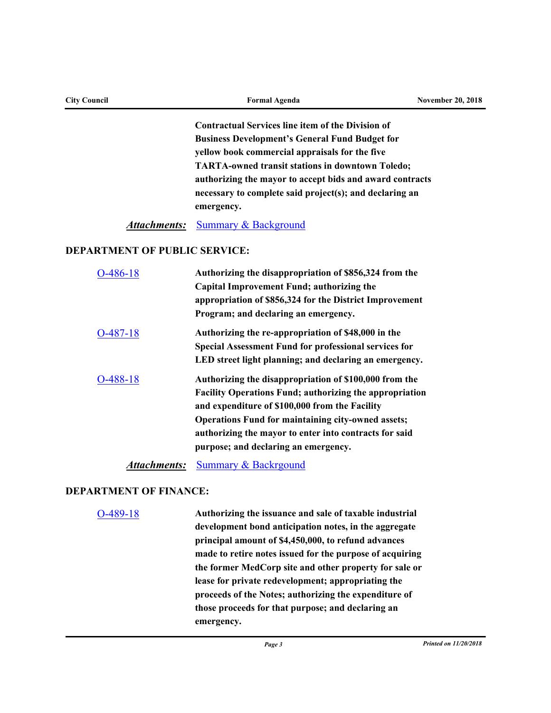| <b>City Council</b> | <b>Formal Agenda</b>                                     | <b>November 20, 2018</b> |
|---------------------|----------------------------------------------------------|--------------------------|
|                     | Contractual Services line item of the Division of        |                          |
|                     | <b>Business Development's General Fund Budget for</b>    |                          |
|                     | yellow book commercial appraisals for the five           |                          |
|                     | <b>TARTA-owned transit stations in downtown Toledo;</b>  |                          |
|                     | authorizing the mayor to accept bids and award contracts |                          |
|                     | necessary to complete said project(s); and declaring an  |                          |

**emergency.**

#### *Attachments:* [Summary & Background](http://toledo.legistar.com/gateway.aspx?M=F&ID=cad8e7ca-bc54-4d70-ba91-92fb18e6b960.docx)

#### **DEPARTMENT OF PUBLIC SERVICE:**

| 486-18    | Authorizing the disappropriation of \$856,324 from the<br>Capital Improvement Fund; authorizing the<br>appropriation of \$856,324 for the District Improvement<br>Program; and declaring an emergency.                                                                                                                                    |
|-----------|-------------------------------------------------------------------------------------------------------------------------------------------------------------------------------------------------------------------------------------------------------------------------------------------------------------------------------------------|
| -487-18   | Authorizing the re-appropriation of \$48,000 in the<br><b>Special Assessment Fund for professional services for</b><br>LED street light planning; and declaring an emergency.                                                                                                                                                             |
| $-488-18$ | Authorizing the disappropriation of \$100,000 from the<br><b>Facility Operations Fund; authorizing the appropriation</b><br>and expenditure of \$100,000 from the Facility<br><b>Operations Fund for maintaining city-owned assets;</b><br>authorizing the mayor to enter into contracts for said<br>purpose; and declaring an emergency. |

*Attachments:* [Summary & Backrgound](http://toledo.legistar.com/gateway.aspx?M=F&ID=4acd55d5-7de4-4844-a883-8d486ed25303.docx)

## **DEPARTMENT OF FINANCE:**

[O-489-18](http://toledo.legistar.com/gateway.aspx?m=l&id=/matter.aspx?key=32207) **Authorizing the issuance and sale of taxable industrial development bond anticipation notes, in the aggregate principal amount of \$4,450,000, to refund advances made to retire notes issued for the purpose of acquiring the former MedCorp site and other property for sale or lease for private redevelopment; appropriating the proceeds of the Notes; authorizing the expenditure of those proceeds for that purpose; and declaring an emergency.**